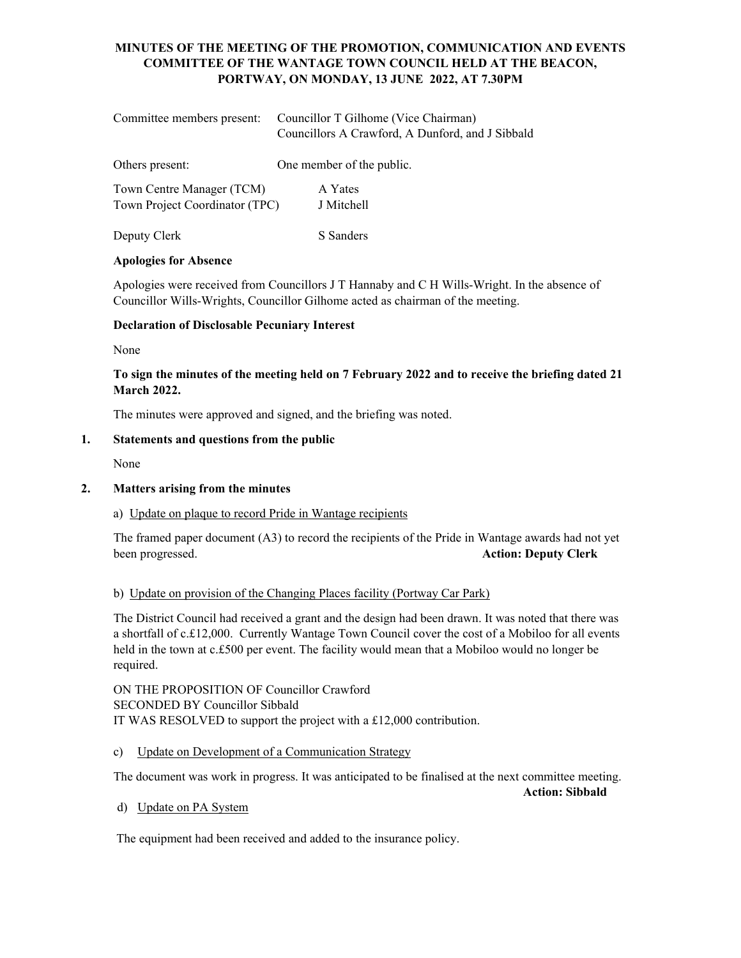# **MINUTES OF THE MEETING OF THE PROMOTION, COMMUNICATION AND EVENTS COMMITTEE OF THE WANTAGE TOWN COUNCIL HELD AT THE BEACON, PORTWAY, ON MONDAY, 13 JUNE 2022, AT 7.30PM**

| Committee members present:                                  | Councillor T Gilhome (Vice Chairman)<br>Councillors A Crawford, A Dunford, and J Sibbald |
|-------------------------------------------------------------|------------------------------------------------------------------------------------------|
| Others present:                                             | One member of the public.                                                                |
| Town Centre Manager (TCM)<br>Town Project Coordinator (TPC) | A Yates<br>J Mitchell                                                                    |

Deputy Clerk S Sanders

#### **Apologies for Absence**

Apologies were received from Councillors J T Hannaby and C H Wills-Wright. In the absence of Councillor Wills-Wrights, Councillor Gilhome acted as chairman of the meeting.

### **Declaration of Disclosable Pecuniary Interest**

None

## **To sign the minutes of the meeting held on 7 February 2022 and to receive the briefing dated 21 March 2022.**

The minutes were approved and signed, and the briefing was noted.

# **1. Statements and questions from the public**

None

#### **2. Matters arising from the minutes**

#### a) Update on plaque to record Pride in Wantage recipients

The framed paper document (A3) to record the recipients of the Pride in Wantage awards had not yet been progressed. **Action: Deputy Clerk**

#### b) Update on provision of the Changing Places facility (Portway Car Park)

The District Council had received a grant and the design had been drawn. It was noted that there was a shortfall of c.£12,000. Currently Wantage Town Council cover the cost of a Mobiloo for all events held in the town at c.£500 per event. The facility would mean that a Mobiloo would no longer be required.

ON THE PROPOSITION OF Councillor Crawford SECONDED BY Councillor Sibbald IT WAS RESOLVED to support the project with a £12,000 contribution.

c) Update on Development of a Communication Strategy

The document was work in progress. It was anticipated to be finalised at the next committee meeting.

**Action: Sibbald** 

d) Update on PA System

The equipment had been received and added to the insurance policy.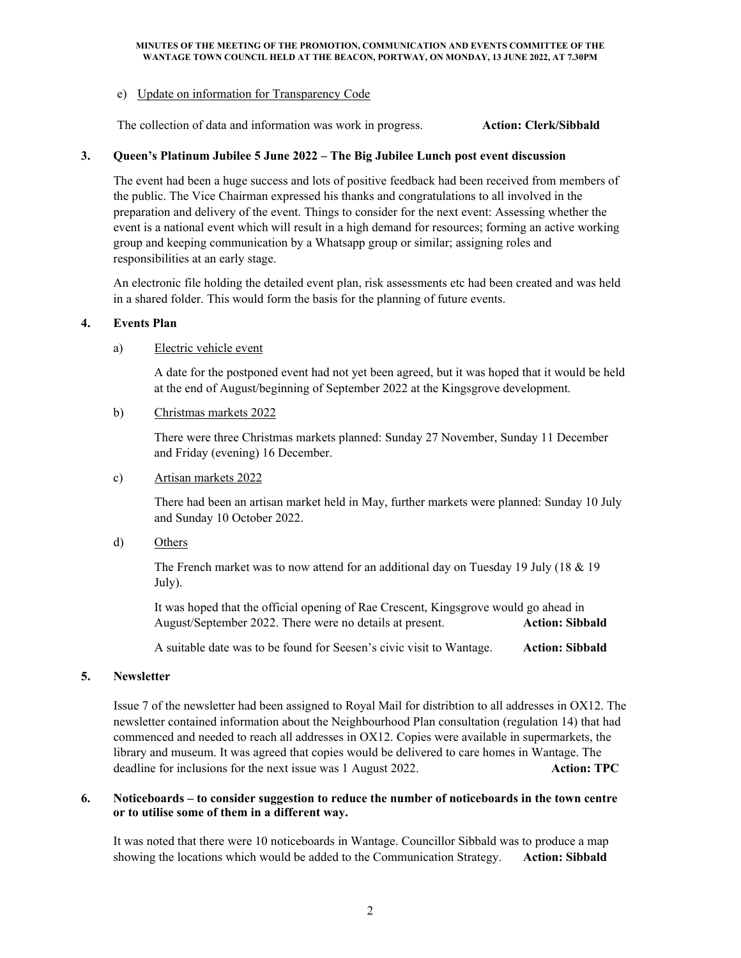#### **MINUTES OF THE MEETING OF THE PROMOTION, COMMUNICATION AND EVENTS COMMITTEE OF THE WANTAGE TOWN COUNCIL HELD AT THE BEACON, PORTWAY, ON MONDAY, 13 JUNE 2022, AT 7.30PM**

#### e) Update on information for Transparency Code

The collection of data and information was work in progress. **Action: Clerk/Sibbald**

#### **3. Queen's Platinum Jubilee 5 June 2022 – The Big Jubilee Lunch post event discussion**

The event had been a huge success and lots of positive feedback had been received from members of the public. The Vice Chairman expressed his thanks and congratulations to all involved in the preparation and delivery of the event. Things to consider for the next event: Assessing whether the event is a national event which will result in a high demand for resources; forming an active working group and keeping communication by a Whatsapp group or similar; assigning roles and responsibilities at an early stage.

An electronic file holding the detailed event plan, risk assessments etc had been created and was held in a shared folder. This would form the basis for the planning of future events.

### **4. Events Plan**

### a) Electric vehicle event

A date for the postponed event had not yet been agreed, but it was hoped that it would be held at the end of August/beginning of September 2022 at the Kingsgrove development.

#### b) Christmas markets 2022

There were three Christmas markets planned: Sunday 27 November, Sunday 11 December and Friday (evening) 16 December.

#### c) Artisan markets 2022

There had been an artisan market held in May, further markets were planned: Sunday 10 July and Sunday 10 October 2022.

d) Others

The French market was to now attend for an additional day on Tuesday 19 July (18 & 19 July).

It was hoped that the official opening of Rae Crescent, Kingsgrove would go ahead in August/September 2022. There were no details at present. **Action: Sibbald**

A suitable date was to be found for Seesen's civic visit to Wantage. **Action: Sibbald**

#### **5. Newsletter**

Issue 7 of the newsletter had been assigned to Royal Mail for distribtion to all addresses in OX12. The newsletter contained information about the Neighbourhood Plan consultation (regulation 14) that had commenced and needed to reach all addresses in OX12. Copies were available in supermarkets, the library and museum. It was agreed that copies would be delivered to care homes in Wantage. The deadline for inclusions for the next issue was 1 August 2022. **Action: TPC** 

### **6. Noticeboards – to consider suggestion to reduce the number of noticeboards in the town centre or to utilise some of them in a different way.**

It was noted that there were 10 noticeboards in Wantage. Councillor Sibbald was to produce a map showing the locations which would be added to the Communication Strategy. **Action: Sibbald**